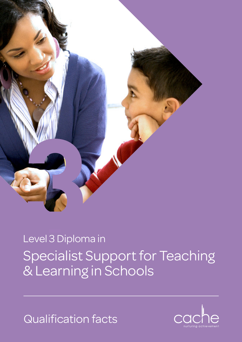

# Specialist Support for Teaching & Learning in Schools Level 3 Diploma in

Qualification facts

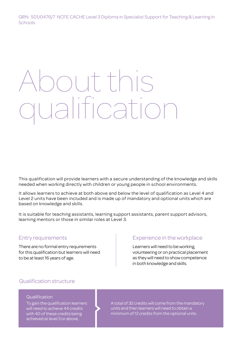QRN: 501/0476/7 NCFE CACHE Level 3 Diploma in Specialist Support for Teaching & Learning in **Schools** 

# About this alificat

This qualification will provide learners with a secure understanding of the knowledge and skills needed when working directly with children or young people in school environments.

It allows learners to achieve at both above and below the level of qualification as Level 4 and Level 2 units have been included and is made up of mandatory and optional units which are based on knowledge and skills.

It is suitable for teaching assistants, learning support assistants, parent support advisors, learning mentors or those in similar roles at Level 3.

# Entry requirements

There are no formal entry requirements for this qualification but learners will need to be at least 16 years of age.

# Experience in the workplace

Learners will need to be working, volunteering or on practical placement as they will need to show competence in both knowledge and skills.

# Qualification structure

#### Qualification

To gain the qualification learners will need to achieve 44 credits with 40 of these credits being achieved at level 3 or above.

A total of 32 credits will come from the mandatory units and then learners will need to obtain a minimum of 12 credits from the optional units.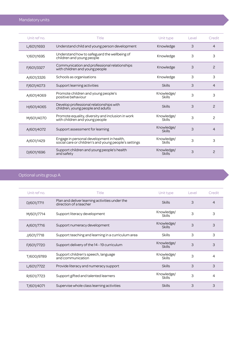| Unit ref no. | Title                                                                                              | Unit type                   | Level | Credit         |
|--------------|----------------------------------------------------------------------------------------------------|-----------------------------|-------|----------------|
| L/601/1693   | Understand child and young person development                                                      | Knowledge                   | 3     | $\overline{4}$ |
| Y/601/1695   | Understand how to safeguard the wellbeing of<br>children and young people                          | Knowledge                   | 3     | 3              |
| F/601/3327   | Communication and professional relationships<br>with children and young people                     | Knowledge                   | 3     | 2              |
| A/601/3326   | Schools as organisations                                                                           | Knowledge                   | 3     | 3              |
| F/601/4073   | Support learning activities                                                                        | Skills                      | 3     | 4              |
| A/601/4069   | Promote children and young people's<br>positive behaviour                                          | Knowledge/<br>Skills        | 3     | 3              |
| H/601/4065   | Develop professional relationships with<br>children, young people and adults                       | <b>Skills</b>               | 3     | 2              |
| M/601/4070   | Promote equality, diversity and inclusion in work<br>with children and young people                | Knowledge/<br>Skills        | 3     | 2              |
| A/601/4072   | Support assessment for learning                                                                    | Knowledge/<br><b>Skills</b> | 3     | 4              |
| A/601/1429   | Engage in personal development in health,<br>social care or children's and young people's settings | Knowledge/<br><b>Skills</b> | 3     | 3              |
| D/601/1696   | Support children and young people's health<br>and safety                                           | Knowledge/<br><b>Skills</b> | 3     | $\overline{c}$ |

# Optional units group A

| Unit ref no. | Title                                                                    | Unit type                   | Level | Credit |
|--------------|--------------------------------------------------------------------------|-----------------------------|-------|--------|
| D/601/7711   | Plan and deliver learning activities under the<br>direction of a teacher | <b>Skills</b>               | 3     | 4      |
| M/601/7714   | Support literacy development                                             | Knowledge/<br><b>Skills</b> | 3     | 3      |
| A/601/7716   | Support numeracy development                                             | Knowledge/<br><b>Skills</b> | 3     | 3      |
| J/601/7718   | Support teaching and learning in a curriculum area                       | <b>Skills</b>               | 3     | 3      |
| F/601/7720   | Support delivery of the 14 - 19 curriculum                               | Knowledge/<br><b>Skills</b> | 3     | 3      |
| T/600/9789   | Support children's speech, language<br>and communication                 | Knowledge/<br><b>Skills</b> | 3     | 4      |
| L/601/7722   | Provide literacy and numeracy support                                    | <b>Skills</b>               | 3     | 3      |
| R/601/7723   | Support gifted and talented learners                                     | Knowledge/<br><b>Skills</b> | 3     | 4      |
| T/601/4071   | Supervise whole class learning activities                                | <b>Skills</b>               | 3     | 3      |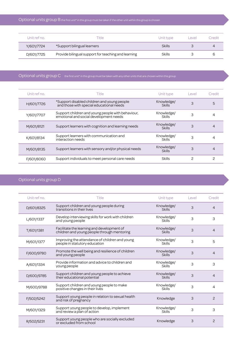| Unit ref no. | <b>Fitle</b>                                        | Unit type     | evel | Credit |
|--------------|-----------------------------------------------------|---------------|------|--------|
| Y/601/7724   | *Support bilingual learners                         | <b>Skills</b> |      |        |
| D/601/7725   | Provide bilingual support for teaching and learning | <b>Skills</b> |      |        |

# Optional units group C the first unit\* in this group must be taken with any other units that are chosen within this group

| Unit ref no. | Title                                                                                       | Unit type                   | Level | Credit |
|--------------|---------------------------------------------------------------------------------------------|-----------------------------|-------|--------|
| H/601/7726   | *Support disabled children and young people<br>and those with special educational needs     | Knowledge/<br><b>Skills</b> | 3     | 5      |
| Y/601/7707   | Support children and young people with behaviour,<br>emotional and social development needs | Knowledge/<br><b>Skills</b> | 3     | 4      |
| M/601/8121   | Support learners with cognition and learning needs                                          | Knowledge/<br><b>Skills</b> | З     | 4      |
| K/601/8134   | Support learners with communication and<br>interaction needs                                | Knowledge/<br><b>Skills</b> | 3     |        |
| M/601/8135   | Support learners with sensory and/or physical needs                                         | Knowledge/<br><b>Skills</b> | З     | 4      |
| F/601/8060   | Support individuals to meet personal care needs                                             | <b>Skills</b>               | 2     |        |

# Optional units group D

| Unit ref no. | Title                                                                                     | Unit type                   | Level | Credit         |
|--------------|-------------------------------------------------------------------------------------------|-----------------------------|-------|----------------|
| D/601/8325   | Support children and young people during<br>transitions in their lives                    | Knowledge/<br><b>Skills</b> | 3     | 4              |
| L/601/1337   | Develop interviewing skills for work with children<br>and young people                    | Knowledge/<br><b>Skills</b> | 3     | 3              |
| T/601/1381   | Facilitate the learning and development of<br>children and young people through mentoring | Knowledge/<br><b>Skills</b> | 3     | $\overline{4}$ |
| M/601/1377   | Improving the attendance of children and young<br>people in statutory education           | Knowledge/<br><b>Skills</b> | 3     | 5              |
| F/600/9780   | Promote the well being and resilience of children<br>and young people                     | Knowledge/<br><b>Skills</b> | 3     | $\overline{4}$ |
| A/601/1334   | Provide information and advice to children and<br>young people                            | Knowledge/<br><b>Skills</b> | 3     | 3              |
| D/600/9785   | Support children and young people to achieve<br>their educational potential               | Knowledge/<br><b>Skills</b> | 3     | 4              |
| M/600/9788   | Support children and young people to make<br>positive changes in their lives              | Knowledge/<br><b>Skills</b> | 3     | 4              |
| F/502/5242   | Support young people in relation to sexual health<br>and risk of pregnancy                | Knowledge                   | 3     | 2              |
| M/601/1329   | Support young people to develop, implement<br>and review a plan of action                 | Knowledge/<br>Skills        | 3     | 3              |
| R/502/5231   | Support young people who are socially excluded<br>or excluded from school                 | Knowledge                   | 3     | 2              |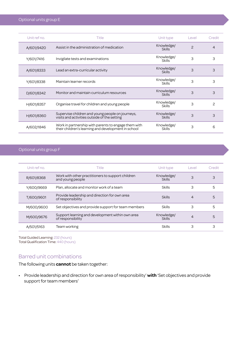| Unit ref no. | Title                                                                                                       | Unit type                   | Level         | Credit        |
|--------------|-------------------------------------------------------------------------------------------------------------|-----------------------------|---------------|---------------|
| A/601/9420   | Assist in the administration of medication                                                                  | Knowledge/<br><b>Skills</b> | $\mathcal{P}$ | 4             |
| Y/601/7416   | Invigilate tests and examinations                                                                           | Knowledge/<br><b>Skills</b> | 3             | 3             |
| A/601/8333   | Lead an extra-curricular activity                                                                           | Knowledge/<br><b>Skills</b> | 3             | 3             |
| Y/601/8338   | Maintain learner records                                                                                    | Knowledge/<br><b>Skills</b> | 3             | 3             |
| D/601/8342   | Monitor and maintain curriculum resources                                                                   | Knowledge/<br><b>Skills</b> | 3             | 3             |
| H/601/8357   | Organise travel for children and young people                                                               | Knowledge/<br><b>Skills</b> | 3             | $\mathcal{P}$ |
| H/601/8360   | Supervise children and young people on journeys,<br>visits and activities outside of the setting            | Knowledge/<br><b>Skills</b> | 3             | 3             |
| A/602/1846   | Work in partnership with parents to engage them with<br>their children's learning and development in school | Knowledge/<br>Skills        | 3             | 6             |

# Optional units group F

| Unit ref no. | Title                                                                 | Unit type                   | Level | Credit |
|--------------|-----------------------------------------------------------------------|-----------------------------|-------|--------|
| R/601/8368   | Work with other practitioners to support children<br>and young people | Knowledge/<br><b>Skills</b> | 3     | 3      |
| Y/600/9669   | Plan, allocate and monitor work of a team                             | <b>Skills</b>               | З     | 5      |
| T/600/9601   | Provide leadership and direction for own area<br>of responsibility    | <b>Skills</b>               | 4     | 5      |
| M/600/9600   | Set objectives and provide support for team members                   | <b>Skills</b>               | З     | 5      |
| M/600/9676   | Support learning and development within own area<br>of responsibility | Knowledge/<br><b>Skills</b> | 4     | 5      |
| A/501/5163   | Team working                                                          | Skills                      | З     | З      |

Total Guided Learning: 232 (hours) Total Qualification Time: 440 (hours)

# Barred unit combinations

The following units **cannot** be taken together:

• Provide leadership and direction for own area of responsibility' **with** 'Set objectives and provide support for team members'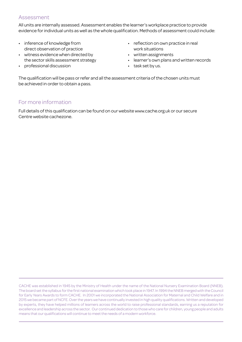## Assessment

All units are internally assessed. Assessment enables the learner's workplace practice to provide evidence for individual units as well as the whole qualification. Methods of assessment could include:

- inference of knowledge from direct observation of practice
- witness evidence when directed by the sector skills assessment strategy
- professional discussion
- reflection on own practice in real work situations
- written assignments
- learner's own plans and written records
- task set by us.

The qualification will be pass or refer and all the assessment criteria of the chosen units must be achieved in order to obtain a pass.

# For more information

Full details of this qualification can be found on our website www.cache.org.uk or our secure Centre website cachezone.

CACHE was established in 1945 by the Ministry of Health under the name of the National Nursery Examination Board (NNEB). The board set the syllabus for the first national examination which took place in 1947. In 1994 the NNEB merged with the Council for Early Years Awards to form CACHE. In 2001 we incorporated the National Association for Maternal and Child Welfare and in 2015 we became part of NCFE. Over the years we have continually invested in high quality qualifications. Written and developed by experts, they have helped millions of learners across the world to raise professional standards, earning us a reputation for excellence and leadership across the sector. Our continued dedication to those who care for children, young people and adults means that our qualifications will continue to meet the needs of a modern workforce.